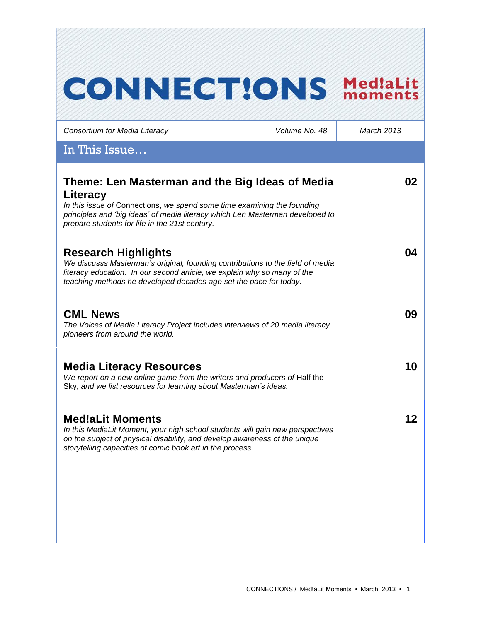# **CONNECT!ONS Med!aLit** *Consortium for Media Literacy Volume No. 48 March 2013* In This Issue… **Theme: Len Masterman and the Big Ideas of Media 02 Literacy** *In this issue of* Connections, *we spend some time examining the founding principles and 'big ideas' of media literacy which Len Masterman developed to prepare students for life in the 21st century.*  **Research Highlights 04** *We discusss Masterman's original, founding contributions to the field of media literacy education. In our second article, we explain why so many of the teaching methods he developed decades ago set the pace for today.*  **CML News 09** *The Voices of Media Literacy Project includes interviews of 20 media literacy pioneers from around the world.* **Media Literacy Resources 10** We report on a new online game from the writers and producers of Half the Sky, *and we list resources for learning about Masterman's ideas.*  **Med!aLit Moments 12***In this MediaLit Moment, your high school students will gain new perspectives on the subject of physical disability, and develop awareness of the unique storytelling capacities of comic book art in the process.*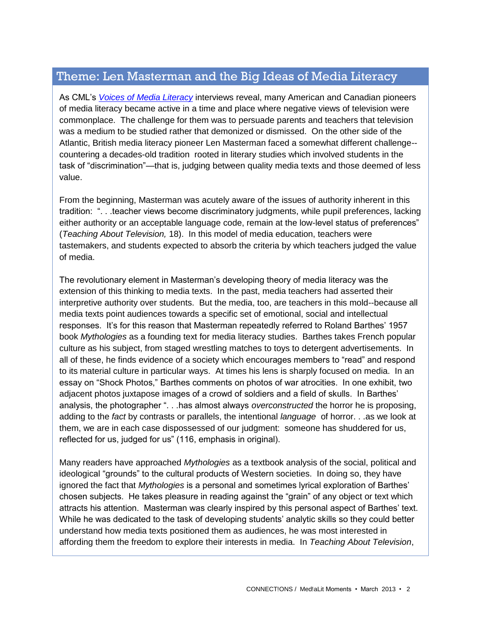# Theme: Len Masterman and the Big Ideas of Media Literacy

As CML's *[Voices of Media Literacy](http://www.medialit.org/voices-media-literacy-international-pioneers-speak)* interviews reveal, many American and Canadian pioneers of media literacy became active in a time and place where negative views of television were commonplace. The challenge for them was to persuade parents and teachers that television was a medium to be studied rather that demonized or dismissed. On the other side of the Atlantic, British media literacy pioneer Len Masterman faced a somewhat different challenge- countering a decades-old tradition rooted in literary studies which involved students in the task of "discrimination"—that is, judging between quality media texts and those deemed of less value.

From the beginning, Masterman was acutely aware of the issues of authority inherent in this tradition: ". . .teacher views become discriminatory judgments, while pupil preferences, lacking either authority or an acceptable language code, remain at the low-level status of preferences" (*Teaching About Television,* 18). In this model of media education, teachers were tastemakers, and students expected to absorb the criteria by which teachers judged the value of media.

The revolutionary element in Masterman's developing theory of media literacy was the extension of this thinking to media texts. In the past, media teachers had asserted their interpretive authority over students. But the media, too, are teachers in this mold--because all media texts point audiences towards a specific set of emotional, social and intellectual responses. It's for this reason that Masterman repeatedly referred to Roland Barthes' 1957 book *Mythologies* as a founding text for media literacy studies. Barthes takes French popular culture as his subject, from staged wrestling matches to toys to detergent advertisements. In all of these, he finds evidence of a society which encourages members to "read" and respond to its material culture in particular ways. At times his lens is sharply focused on media. In an essay on "Shock Photos," Barthes comments on photos of war atrocities. In one exhibit, two adjacent photos juxtapose images of a crowd of soldiers and a field of skulls. In Barthes' analysis, the photographer ". . .has almost always *overconstructed* the horror he is proposing, adding to the *fact* by contrasts or parallels, the intentional *language* of horror. . .as we look at them, we are in each case dispossessed of our judgment: someone has shuddered for us, reflected for us, judged for us" (116, emphasis in original).

Many readers have approached *Mythologies* as a textbook analysis of the social, political and ideological "grounds" to the cultural products of Western societies. In doing so, they have ignored the fact that *Mythologies* is a personal and sometimes lyrical exploration of Barthes' chosen subjects. He takes pleasure in reading against the "grain" of any object or text which attracts his attention. Masterman was clearly inspired by this personal aspect of Barthes' text. While he was dedicated to the task of developing students' analytic skills so they could better understand how media texts positioned them as audiences, he was most interested in affording them the freedom to explore their interests in media. In *Teaching About Television*,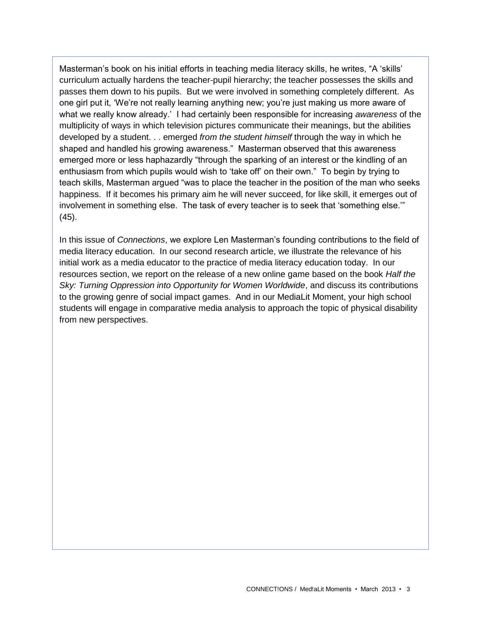Masterman's book on his initial efforts in teaching media literacy skills, he writes, "A 'skills' curriculum actually hardens the teacher-pupil hierarchy; the teacher possesses the skills and passes them down to his pupils. But we were involved in something completely different. As one girl put it, 'We're not really learning anything new; you're just making us more aware of what we really know already.' I had certainly been responsible for increasing *awareness* of the multiplicity of ways in which television pictures communicate their meanings, but the abilities developed by a student. . . emerged *from the student himself* through the way in which he shaped and handled his growing awareness." Masterman observed that this awareness emerged more or less haphazardly "through the sparking of an interest or the kindling of an enthusiasm from which pupils would wish to 'take off' on their own." To begin by trying to teach skills, Masterman argued "was to place the teacher in the position of the man who seeks happiness. If it becomes his primary aim he will never succeed, for like skill, it emerges out of involvement in something else. The task of every teacher is to seek that 'something else.'" (45).

In this issue of *Connections*, we explore Len Masterman's founding contributions to the field of media literacy education. In our second research article, we illustrate the relevance of his initial work as a media educator to the practice of media literacy education today. In our resources section, we report on the release of a new online game based on the book *Half the Sky: Turning Oppression into Opportunity for Women Worldwide*, and discuss its contributions to the growing genre of social impact games. And in our MediaLit Moment, your high school students will engage in comparative media analysis to approach the topic of physical disability from new perspectives.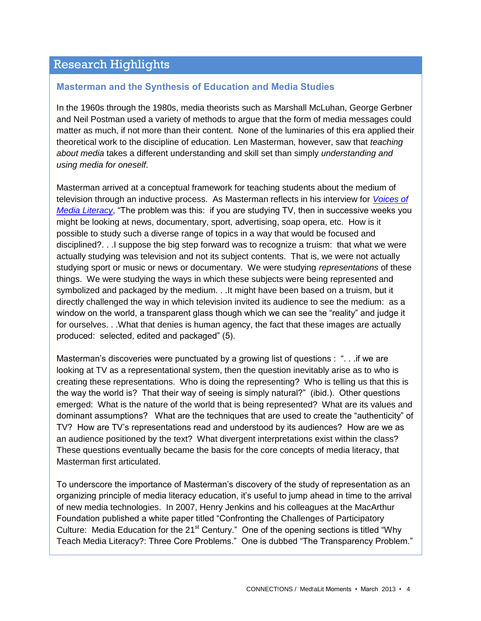# Research Highlights

#### **Masterman and the Synthesis of Education and Media Studies**

In the 1960s through the 1980s, media theorists such as Marshall McLuhan, George Gerbner and Neil Postman used a variety of methods to argue that the form of media messages could matter as much, if not more than their content. None of the luminaries of this era applied their theoretical work to the discipline of education. Len Masterman, however, saw that *teaching about media* takes a different understanding and skill set than simply *understanding and using media for oneself*.

Masterman arrived at a conceptual framework for teaching students about the medium of television through an inductive process. As Masterman reflects in his interview for *[Voices of](http://www.medialit.org/reading-room/voices-media-literacy-international-pioneers-speak-len-masterman-interview-transcript)  [Media Literacy](http://www.medialit.org/reading-room/voices-media-literacy-international-pioneers-speak-len-masterman-interview-transcript)*, "The problem was this: if you are studying TV, then in successive weeks you might be looking at news, documentary, sport, advertising, soap opera, etc. How is it possible to study such a diverse range of topics in a way that would be focused and disciplined?. . .I suppose the big step forward was to recognize a truism: that what we were actually studying was television and not its subject contents. That is, we were not actually studying sport or music or news or documentary. We were studying *representations* of these things. We were studying the ways in which these subjects were being represented and symbolized and packaged by the medium. . .It might have been based on a truism, but it directly challenged the way in which television invited its audience to see the medium: as a window on the world, a transparent glass though which we can see the "reality" and judge it for ourselves. . .What that denies is human agency, the fact that these images are actually produced: selected, edited and packaged" (5).

Masterman's discoveries were punctuated by a growing list of questions : ". . .if we are looking at TV as a representational system, then the question inevitably arise as to who is creating these representations. Who is doing the representing? Who is telling us that this is the way the world is? That their way of seeing is simply natural?" (ibid.). Other questions emerged: What is the nature of the world that is being represented? What are its values and dominant assumptions? What are the techniques that are used to create the "authenticity" of TV? How are TV's representations read and understood by its audiences? How are we as an audience positioned by the text? What divergent interpretations exist within the class? These questions eventually became the basis for the core concepts of media literacy, that Masterman first articulated.

To underscore the importance of Masterman's discovery of the study of representation as an organizing principle of media literacy education, it's useful to jump ahead in time to the arrival of new media technologies. In 2007, Henry Jenkins and his colleagues at the MacArthur Foundation published a white paper titled "Confronting the Challenges of Participatory Culture: Media Education for the 21<sup>st</sup> Century." One of the opening sections is titled "Why Teach Media Literacy?: Three Core Problems." One is dubbed "The Transparency Problem."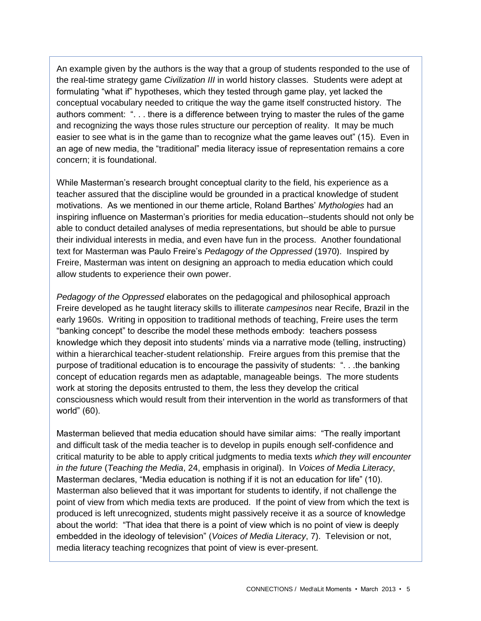An example given by the authors is the way that a group of students responded to the use of the real-time strategy game *Civilization III* in world history classes. Students were adept at formulating "what if" hypotheses, which they tested through game play, yet lacked the conceptual vocabulary needed to critique the way the game itself constructed history. The authors comment: ". . . there is a difference between trying to master the rules of the game and recognizing the ways those rules structure our perception of reality. It may be much easier to see what is in the game than to recognize what the game leaves out" (15). Even in an age of new media, the "traditional" media literacy issue of representation remains a core concern; it is foundational.

While Masterman's research brought conceptual clarity to the field, his experience as a teacher assured that the discipline would be grounded in a practical knowledge of student motivations. As we mentioned in our theme article, Roland Barthes' *Mythologies* had an inspiring influence on Masterman's priorities for media education--students should not only be able to conduct detailed analyses of media representations, but should be able to pursue their individual interests in media, and even have fun in the process. Another foundational text for Masterman was Paulo Freire's *Pedagogy of the Oppressed* (1970). Inspired by Freire, Masterman was intent on designing an approach to media education which could allow students to experience their own power.

*Pedagogy of the Oppressed* elaborates on the pedagogical and philosophical approach Freire developed as he taught literacy skills to illiterate *campesinos* near Recife, Brazil in the early 1960s. Writing in opposition to traditional methods of teaching, Freire uses the term "banking concept" to describe the model these methods embody: teachers possess knowledge which they deposit into students' minds via a narrative mode (telling, instructing) within a hierarchical teacher-student relationship. Freire argues from this premise that the purpose of traditional education is to encourage the passivity of students: ". . .the banking concept of education regards men as adaptable, manageable beings. The more students work at storing the deposits entrusted to them, the less they develop the critical consciousness which would result from their intervention in the world as transformers of that world" (60).

Masterman believed that media education should have similar aims: "The really important and difficult task of the media teacher is to develop in pupils enough self-confidence and critical maturity to be able to apply critical judgments to media texts *which they will encounter in the future* (*Teaching the Media*, 24, emphasis in original). In *Voices of Media Literacy*, Masterman declares, "Media education is nothing if it is not an education for life" (10). Masterman also believed that it was important for students to identify, if not challenge the point of view from which media texts are produced. If the point of view from which the text is produced is left unrecognized, students might passively receive it as a source of knowledge about the world: "That idea that there is a point of view which is no point of view is deeply embedded in the ideology of television" (*Voices of Media Literacy*, 7). Television or not, media literacy teaching recognizes that point of view is ever-present.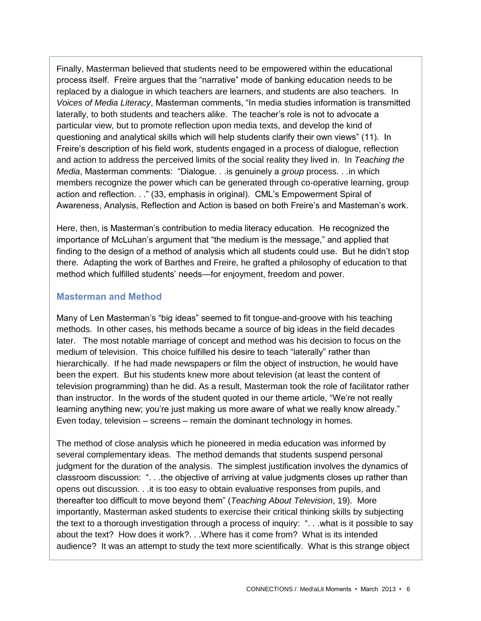Finally, Masterman believed that students need to be empowered within the educational process itself. Freire argues that the "narrative" mode of banking education needs to be replaced by a dialogue in which teachers are learners, and students are also teachers. In *Voices of Media Literacy*, Masterman comments, "In media studies information is transmitted laterally, to both students and teachers alike. The teacher's role is not to advocate a particular view, but to promote reflection upon media texts, and develop the kind of questioning and analytical skills which will help students clarify their own views" (11). In Freire's description of his field work, students engaged in a process of dialogue, reflection and action to address the perceived limits of the social reality they lived in. In *Teaching the Media*, Masterman comments: "Dialogue. . .is genuinely a *group* process. . .in which members recognize the power which can be generated through co-operative learning, group action and reflection. . ." (33, emphasis in original). CML's Empowerment Spiral of Awareness, Analysis, Reflection and Action is based on both Freire's and Masteman's work.

Here, then, is Masterman's contribution to media literacy education. He recognized the importance of McLuhan's argument that "the medium is the message," and applied that finding to the design of a method of analysis which all students could use. But he didn't stop there. Adapting the work of Barthes and Freire, he grafted a philosophy of education to that method which fulfilled students' needs—for enjoyment, freedom and power.

#### **Masterman and Method**

Many of Len Masterman's "big ideas" seemed to fit tongue-and-groove with his teaching methods. In other cases, his methods became a source of big ideas in the field decades later. The most notable marriage of concept and method was his decision to focus on the medium of television. This choice fulfilled his desire to teach "laterally" rather than hierarchically. If he had made newspapers or film the object of instruction, he would have been the expert. But his students knew more about television (at least the content of television programming) than he did. As a result, Masterman took the role of facilitator rather than instructor. In the words of the student quoted in our theme article, "We're not really learning anything new; you're just making us more aware of what we really know already." Even today, television – screens – remain the dominant technology in homes.

The method of close analysis which he pioneered in media education was informed by several complementary ideas. The method demands that students suspend personal judgment for the duration of the analysis. The simplest justification involves the dynamics of classroom discussion: ". . .the objective of arriving at value judgments closes up rather than opens out discussion. . .it is too easy to obtain evaluative responses from pupils, and thereafter too difficult to move beyond them" (*Teaching About Television*, 19). More importantly, Masterman asked students to exercise their critical thinking skills by subjecting the text to a thorough investigation through a process of inquiry: ". . .what is it possible to say about the text? How does it work?. . .Where has it come from? What is its intended audience? It was an attempt to study the text more scientifically. What is this strange object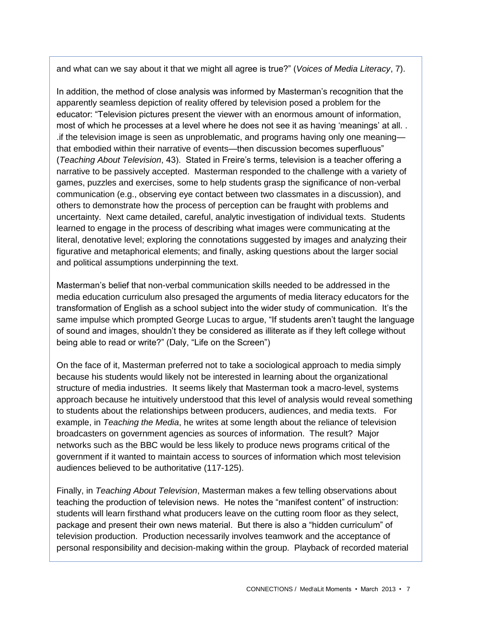and what can we say about it that we might all agree is true?" (*Voices of Media Literacy*, 7).

In addition, the method of close analysis was informed by Masterman's recognition that the apparently seamless depiction of reality offered by television posed a problem for the educator: "Television pictures present the viewer with an enormous amount of information, most of which he processes at a level where he does not see it as having 'meanings' at all. . .if the television image is seen as unproblematic, and programs having only one meaning that embodied within their narrative of events—then discussion becomes superfluous" (*Teaching About Television*, 43). Stated in Freire's terms, television is a teacher offering a narrative to be passively accepted. Masterman responded to the challenge with a variety of games, puzzles and exercises, some to help students grasp the significance of non-verbal communication (e.g., observing eye contact between two classmates in a discussion), and others to demonstrate how the process of perception can be fraught with problems and uncertainty. Next came detailed, careful, analytic investigation of individual texts. Students learned to engage in the process of describing what images were communicating at the literal, denotative level; exploring the connotations suggested by images and analyzing their figurative and metaphorical elements; and finally, asking questions about the larger social and political assumptions underpinning the text.

Masterman's belief that non-verbal communication skills needed to be addressed in the media education curriculum also presaged the arguments of media literacy educators for the transformation of English as a school subject into the wider study of communication. It's the same impulse which prompted George Lucas to argue, "If students aren't taught the language of sound and images, shouldn't they be considered as illiterate as if they left college without being able to read or write?" (Daly, "Life on the Screen")

On the face of it, Masterman preferred not to take a sociological approach to media simply because his students would likely not be interested in learning about the organizational structure of media industries. It seems likely that Masterman took a macro-level, systems approach because he intuitively understood that this level of analysis would reveal something to students about the relationships between producers, audiences, and media texts. For example, in *Teaching the Media*, he writes at some length about the reliance of television broadcasters on government agencies as sources of information. The result? Major networks such as the BBC would be less likely to produce news programs critical of the government if it wanted to maintain access to sources of information which most television audiences believed to be authoritative (117-125).

Finally, in *Teaching About Television*, Masterman makes a few telling observations about teaching the production of television news. He notes the "manifest content" of instruction: students will learn firsthand what producers leave on the cutting room floor as they select, package and present their own news material. But there is also a "hidden curriculum" of television production. Production necessarily involves teamwork and the acceptance of personal responsibility and decision-making within the group. Playback of recorded material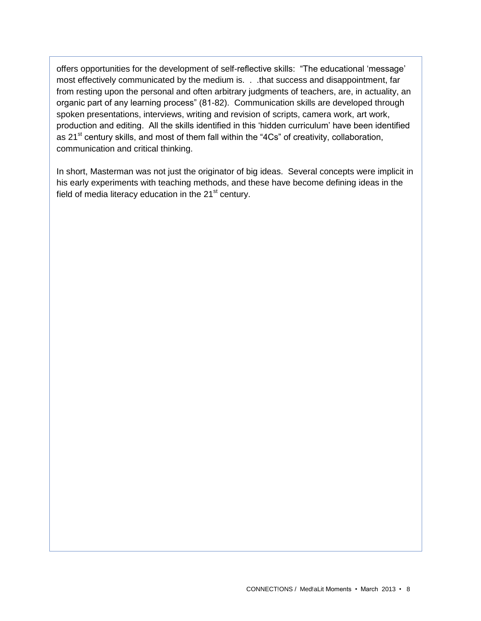offers opportunities for the development of self-reflective skills: "The educational 'message' most effectively communicated by the medium is. . . that success and disappointment, far from resting upon the personal and often arbitrary judgments of teachers, are, in actuality, an organic part of any learning process" (81-82). Communication skills are developed through spoken presentations, interviews, writing and revision of scripts, camera work, art work, production and editing. All the skills identified in this 'hidden curriculum' have been identified as  $21<sup>st</sup>$  century skills, and most of them fall within the "4Cs" of creativity, collaboration, communication and critical thinking.

In short, Masterman was not just the originator of big ideas. Several concepts were implicit in his early experiments with teaching methods, and these have become defining ideas in the field of media literacy education in the  $21<sup>st</sup>$  century.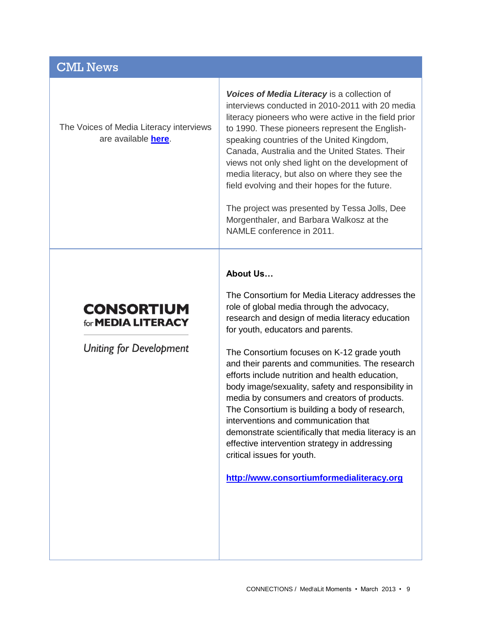# CML News

The Voices of Media Literacy interviews are available **[here](http://www.medialit.org/voices-media-literacy-international-pioneers-speak)**.

*Voices of Media Literacy* is a collection of interviews conducted in 2010-2011 with 20 media literacy pioneers who were active in the field prior to 1990. These pioneers represent the Englishspeaking countries of the United Kingdom, Canada, Australia and the United States. Their views not only shed light on the development of media literacy, but also on where they see the field evolving and their hopes for the future.

The project was presented by Tessa Jolls, Dee Morgenthaler, and Barbara Walkosz at the NAMLE conference in 2011.

#### **About Us…**

# **CONSORTIUM** for **MEDIA LITERACY**

**Uniting for Development** 

The Consortium for Media Literacy addresses the role of global media through the advocacy, research and design of media literacy education for youth, educators and parents.

The Consortium focuses on K-12 grade youth and their parents and communities. The research efforts include nutrition and health education, body image/sexuality, safety and responsibility in media by consumers and creators of products. The Consortium is building a body of research, interventions and communication that demonstrate scientifically that media literacy is an effective intervention strategy in addressing critical issues for youth.

**[http://www.consortiumformedialiteracy.org](http://www.consortiumformedialiteracy.org/)**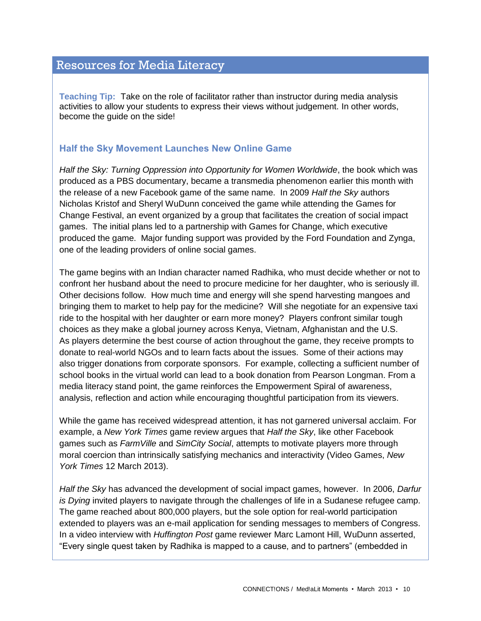## Resources for Media Literacy

**Teaching Tip:** Take on the role of facilitator rather than instructor during media analysis activities to allow your students to express their views without judgement. In other words, become the guide on the side!

### **Half the Sky Movement Launches New Online Game**

*Half the Sky: Turning Oppression into Opportunity for Women Worldwide*, the book which was produced as a PBS documentary, became a transmedia phenomenon earlier this month with the release of a new Facebook game of the same name. In 2009 *Half the Sky* authors Nicholas Kristof and Sheryl WuDunn conceived the game while attending the Games for Change Festival, an event organized by a group that facilitates the creation of social impact games. The initial plans led to a partnership with Games for Change, which executive produced the game. Major funding support was provided by the Ford Foundation and Zynga, one of the leading providers of online social games.

The game begins with an Indian character named Radhika, who must decide whether or not to confront her husband about the need to procure medicine for her daughter, who is seriously ill. Other decisions follow. How much time and energy will she spend harvesting mangoes and bringing them to market to help pay for the medicine? Will she negotiate for an expensive taxi ride to the hospital with her daughter or earn more money? Players confront similar tough choices as they make a global journey across Kenya, Vietnam, Afghanistan and the U.S. As players determine the best course of action throughout the game, they receive prompts to donate to real-world NGOs and to learn facts about the issues. Some of their actions may also trigger donations from corporate sponsors. For example, collecting a sufficient number of school books in the virtual world can lead to a book donation from Pearson Longman. From a media literacy stand point, the game reinforces the Empowerment Spiral of awareness, analysis, reflection and action while encouraging thoughtful participation from its viewers.

While the game has received widespread attention, it has not garnered universal acclaim. For example, a *New York Times* game review argues that *Half the Sky*, like other Facebook games such as *FarmVille* and *SimCity Social*, attempts to motivate players more through moral coercion than intrinsically satisfying mechanics and interactivity (Video Games, *New York Times* 12 March 2013).

*Half the Sky* has advanced the development of social impact games, however. In 2006, *Darfur is Dying* invited players to navigate through the challenges of life in a Sudanese refugee camp. The game reached about 800,000 players, but the sole option for real-world participation extended to players was an e-mail application for sending messages to members of Congress. In a video interview with *Huffington Post* game reviewer Marc Lamont Hill, WuDunn asserted, "Every single quest taken by Radhika is mapped to a cause, and to partners" (embedded in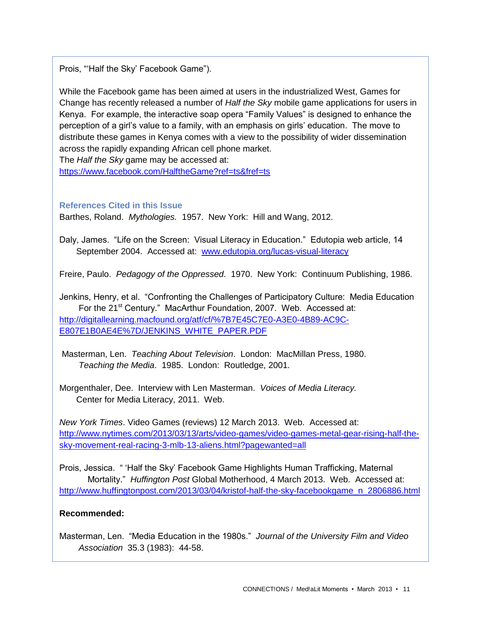Prois, "'Half the Sky' Facebook Game").

While the Facebook game has been aimed at users in the industrialized West, Games for Change has recently released a number of *Half the Sky* mobile game applications for users in Kenya. For example, the interactive soap opera "Family Values" is designed to enhance the perception of a girl's value to a family, with an emphasis on girls' education. The move to distribute these games in Kenya comes with a view to the possibility of wider dissemination across the rapidly expanding African cell phone market.

The *Half the Sky* game may be accessed at:

<https://www.facebook.com/HalftheGame?ref=ts&fref=ts>

**References Cited in this Issue**

Barthes, Roland. *Mythologies.* 1957. New York: Hill and Wang, 2012.

Daly, James. "Life on the Screen: Visual Literacy in Education." Edutopia web article, 14 September 2004. Accessed at: [www.edutopia.org/lucas-visual-literacy](http://www.edutopia.org/lucas-visual-literacy)

Freire, Paulo. *Pedagogy of the Oppressed*. 1970. New York: Continuum Publishing, 1986.

Jenkins, Henry, et al. "Confronting the Challenges of Participatory Culture: Media Education For the 21<sup>st</sup> Century." MacArthur Foundation, 2007. Web. Accessed at: [http://digitallearning.macfound.org/atf/cf/%7B7E45C7E0-A3E0-4B89-AC9C-](http://digitallearning.macfound.org/atf/cf/%7B7E45C7E0-A3E0-4B89-AC9C-E807E1B0AE4E%7D/JENKINS_WHITE_PAPER.PDF)[E807E1B0AE4E%7D/JENKINS\\_WHITE\\_PAPER.PDF](http://digitallearning.macfound.org/atf/cf/%7B7E45C7E0-A3E0-4B89-AC9C-E807E1B0AE4E%7D/JENKINS_WHITE_PAPER.PDF)

Masterman, Len. *Teaching About Television*. London: MacMillan Press, 1980.  *Teaching the Media*. 1985. London: Routledge, 2001.

Morgenthaler, Dee. Interview with Len Masterman. *Voices of Media Literacy.*  Center for Media Literacy, 2011. Web.

*New York Times*. Video Games (reviews) 12 March 2013. Web. Accessed at: [http://www.nytimes.com/2013/03/13/arts/video-games/video-games-metal-gear-rising-half-the](http://www.nytimes.com/2013/03/13/arts/video-games/video-games-metal-gear-rising-half-the-sky-movement-real-racing-3-mlb-13-aliens.html?pagewanted=all)[sky-movement-real-racing-3-mlb-13-aliens.html?pagewanted=all](http://www.nytimes.com/2013/03/13/arts/video-games/video-games-metal-gear-rising-half-the-sky-movement-real-racing-3-mlb-13-aliens.html?pagewanted=all)

Prois, Jessica. " 'Half the Sky' Facebook Game Highlights Human Trafficking, Maternal Mortality." *Huffington Post* Global Motherhood, 4 March 2013. Web. Accessed at: [http://www.huffingtonpost.com/2013/03/04/kristof-half-the-sky-facebookgame\\_n\\_2806886.html](http://www.huffingtonpost.com/2013/03/04/kristof-half-the-sky-facebookgame_n_2806886.html)

### **Recommended:**

Masterman, Len. "Media Education in the 1980s." *Journal of the University Film and Video Association* 35.3 (1983): 44-58.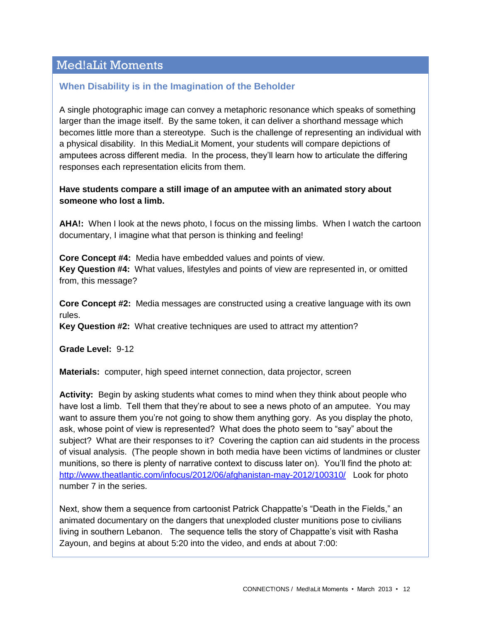# Med!aLit Moments

### **When Disability is in the Imagination of the Beholder**

A single photographic image can convey a metaphoric resonance which speaks of something larger than the image itself. By the same token, it can deliver a shorthand message which becomes little more than a stereotype. Such is the challenge of representing an individual with a physical disability. In this MediaLit Moment, your students will compare depictions of amputees across different media. In the process, they'll learn how to articulate the differing responses each representation elicits from them.

**Have students compare a still image of an amputee with an animated story about someone who lost a limb.** 

**AHA!:** When I look at the news photo, I focus on the missing limbs. When I watch the cartoon documentary, I imagine what that person is thinking and feeling!

**Core Concept #4:** Media have embedded values and points of view. **Key Question #4:** What values, lifestyles and points of view are represented in, or omitted from, this message?

**Core Concept #2:** Media messages are constructed using a creative language with its own rules.

**Key Question #2:** What creative techniques are used to attract my attention?

**Grade Level:** 9-12

**Materials:** computer, high speed internet connection, data projector, screen

**Activity:** Begin by asking students what comes to mind when they think about people who have lost a limb. Tell them that they're about to see a news photo of an amputee. You may want to assure them you're not going to show them anything gory. As you display the photo, ask, whose point of view is represented? What does the photo seem to "say" about the subject? What are their responses to it? Covering the caption can aid students in the process of visual analysis. (The people shown in both media have been victims of landmines or cluster munitions, so there is plenty of narrative context to discuss later on). You'll find the photo at: <http://www.theatlantic.com/infocus/2012/06/afghanistan-may-2012/100310/>Look for photo number 7 in the series.

Next, show them a sequence from cartoonist Patrick Chappatte's "Death in the Fields," an animated documentary on the dangers that unexploded cluster munitions pose to civilians living in southern Lebanon. The sequence tells the story of Chappatte's visit with Rasha Zayoun, and begins at about 5:20 into the video, and ends at about 7:00: